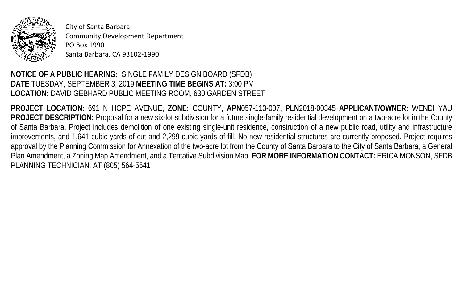

City of Santa Barbara Community Development Department PO Box 1990 Santa Barbara, CA 93102-1990

## **NOTICE OF A PUBLIC HEARING:** SINGLE FAMILY DESIGN BOARD (SFDB) **DATE** TUESDAY, SEPTEMBER 3, 2019 **MEETING TIME BEGINS AT:** 3:00 PM **LOCATION:** DAVID GEBHARD PUBLIC MEETING ROOM, 630 GARDEN STREET

**PROJECT LOCATION:** 691 N HOPE AVENUE, **ZONE:** COUNTY, **APN**057-113-007, **PLN**2018-00345 **APPLICANT/OWNER:** WENDI YAU PROJECT DESCRIPTION: Proposal for a new six-lot subdivision for a future single-family residential development on a two-acre lot in the County of Santa Barbara. Project includes demolition of one existing single-unit residence, construction of a new public road, utility and infrastructure improvements, and 1,641 cubic yards of cut and 2,299 cubic yards of fill. No new residential structures are currently proposed. Project requires approval by the Planning Commission for Annexation of the two-acre lot from the County of Santa Barbara to the City of Santa Barbara, a General Plan Amendment, a Zoning Map Amendment, and a Tentative Subdivision Map. **FOR MORE INFORMATION CONTACT:** ERICA MONSON, SFDB PLANNING TECHNICIAN, AT (805) 564-5541